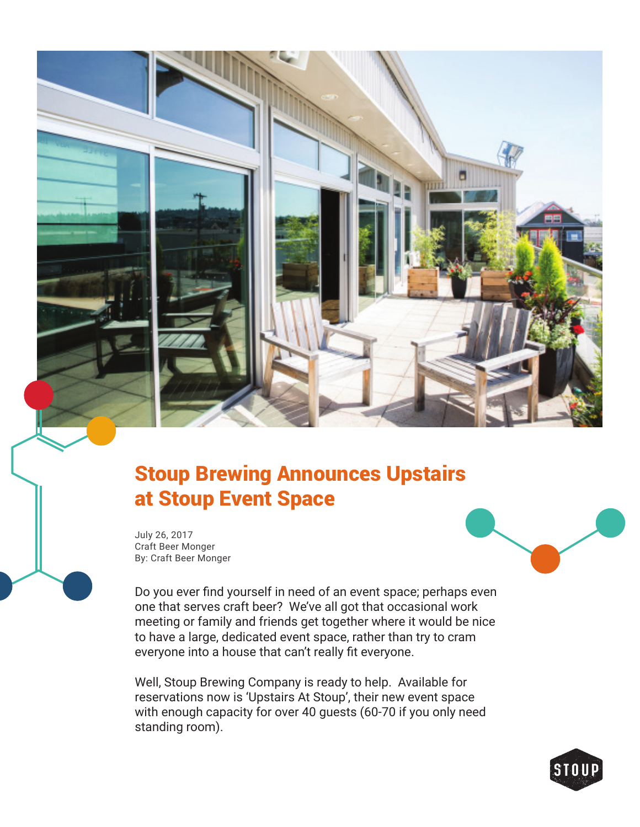

## Stoup Brewing Announces Upstairs at Stoup Event Space

July 26, 2017 Craft Beer Monger By: Craft Beer Monger



Do you ever find yourself in need of an event space; perhaps even one that serves craft beer? We've all got that occasional work meeting or family and friends get together where it would be nice to have a large, dedicated event space, rather than try to cram everyone into a house that can't really fit everyone.

Well, Stoup Brewing Company is ready to help. Available for reservations now is 'Upstairs At Stoup', their new event space with enough capacity for over 40 guests (60-70 if you only need standing room).